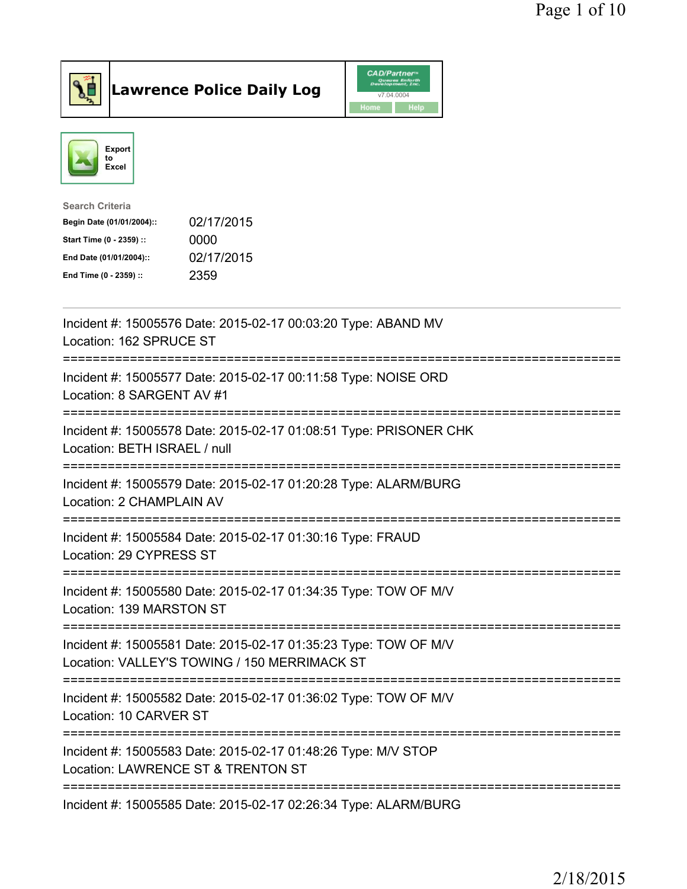



| <b>Search Criteria</b>    |            |
|---------------------------|------------|
| Begin Date (01/01/2004):: | 02/17/2015 |
| Start Time (0 - 2359) ::  | 0000       |
| End Date (01/01/2004)::   | 02/17/2015 |
| End Time (0 - 2359) ::    | 2359       |
|                           |            |

| Incident #: 15005576 Date: 2015-02-17 00:03:20 Type: ABAND MV<br>Location: 162 SPRUCE ST                                  |
|---------------------------------------------------------------------------------------------------------------------------|
| Incident #: 15005577 Date: 2015-02-17 00:11:58 Type: NOISE ORD<br>Location: 8 SARGENT AV #1                               |
| Incident #: 15005578 Date: 2015-02-17 01:08:51 Type: PRISONER CHK<br>Location: BETH ISRAEL / null                         |
| Incident #: 15005579 Date: 2015-02-17 01:20:28 Type: ALARM/BURG<br>Location: 2 CHAMPLAIN AV<br>------------------         |
| Incident #: 15005584 Date: 2015-02-17 01:30:16 Type: FRAUD<br>Location: 29 CYPRESS ST<br>-------------------------------- |
| Incident #: 15005580 Date: 2015-02-17 01:34:35 Type: TOW OF M/V<br>Location: 139 MARSTON ST                               |
| Incident #: 15005581 Date: 2015-02-17 01:35:23 Type: TOW OF M/V<br>Location: VALLEY'S TOWING / 150 MERRIMACK ST           |
| Incident #: 15005582 Date: 2015-02-17 01:36:02 Type: TOW OF M/V<br>Location: 10 CARVER ST                                 |
| Incident #: 15005583 Date: 2015-02-17 01:48:26 Type: M/V STOP<br>Location: LAWRENCE ST & TRENTON ST                       |
| Incident #: 15005585 Date: 2015-02-17 02:26:34 Type: ALARM/BURG                                                           |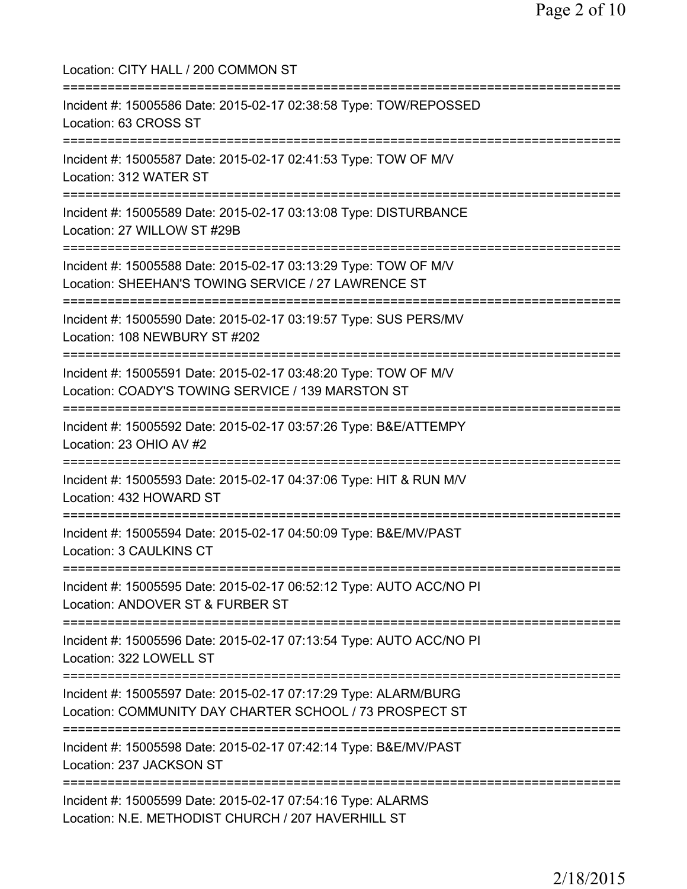Location: CITY HALL / 200 COMMON ST =========================================================================== Incident #: 15005586 Date: 2015-02-17 02:38:58 Type: TOW/REPOSSED Location: 63 CROSS ST =========================================================================== Incident #: 15005587 Date: 2015-02-17 02:41:53 Type: TOW OF M/V Location: 312 WATER ST =========================================================================== Incident #: 15005589 Date: 2015-02-17 03:13:08 Type: DISTURBANCE Location: 27 WILLOW ST #29B =========================================================================== Incident #: 15005588 Date: 2015-02-17 03:13:29 Type: TOW OF M/V Location: SHEEHAN'S TOWING SERVICE / 27 LAWRENCE ST =========================================================================== Incident #: 15005590 Date: 2015-02-17 03:19:57 Type: SUS PERS/MV Location: 108 NEWBURY ST #202 =========================================================================== Incident #: 15005591 Date: 2015-02-17 03:48:20 Type: TOW OF M/V Location: COADY'S TOWING SERVICE / 139 MARSTON ST =========================================================================== Incident #: 15005592 Date: 2015-02-17 03:57:26 Type: B&E/ATTEMPY Location: 23 OHIO AV #2 =========================================================================== Incident #: 15005593 Date: 2015-02-17 04:37:06 Type: HIT & RUN M/V Location: 432 HOWARD ST =========================================================================== Incident #: 15005594 Date: 2015-02-17 04:50:09 Type: B&E/MV/PAST Location: 3 CAULKINS CT =========================================================================== Incident #: 15005595 Date: 2015-02-17 06:52:12 Type: AUTO ACC/NO PI Location: ANDOVER ST & FURBER ST ============================== Incident #: 15005596 Date: 2015-02-17 07:13:54 Type: AUTO ACC/NO PI Location: 322 LOWELL ST =========================================================================== Incident #: 15005597 Date: 2015-02-17 07:17:29 Type: ALARM/BURG Location: COMMUNITY DAY CHARTER SCHOOL / 73 PROSPECT ST =========================================================================== Incident #: 15005598 Date: 2015-02-17 07:42:14 Type: B&E/MV/PAST Location: 237 JACKSON ST =========================================================================== Incident #: 15005599 Date: 2015-02-17 07:54:16 Type: ALARMS Location: N.E. METHODIST CHURCH / 207 HAVERHILL ST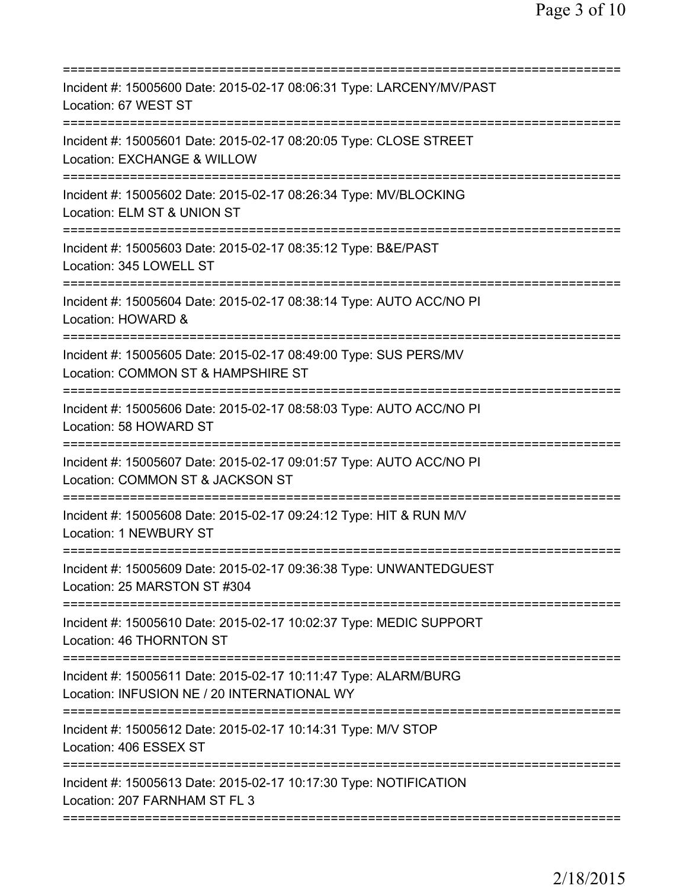| Incident #: 15005600 Date: 2015-02-17 08:06:31 Type: LARCENY/MV/PAST<br>Location: 67 WEST ST                                                 |
|----------------------------------------------------------------------------------------------------------------------------------------------|
| Incident #: 15005601 Date: 2015-02-17 08:20:05 Type: CLOSE STREET<br>Location: EXCHANGE & WILLOW                                             |
| Incident #: 15005602 Date: 2015-02-17 08:26:34 Type: MV/BLOCKING<br>Location: ELM ST & UNION ST                                              |
| Incident #: 15005603 Date: 2015-02-17 08:35:12 Type: B&E/PAST<br>Location: 345 LOWELL ST                                                     |
| Incident #: 15005604 Date: 2015-02-17 08:38:14 Type: AUTO ACC/NO PI<br>Location: HOWARD &                                                    |
| Incident #: 15005605 Date: 2015-02-17 08:49:00 Type: SUS PERS/MV<br>Location: COMMON ST & HAMPSHIRE ST                                       |
| Incident #: 15005606 Date: 2015-02-17 08:58:03 Type: AUTO ACC/NO PI<br>Location: 58 HOWARD ST                                                |
| Incident #: 15005607 Date: 2015-02-17 09:01:57 Type: AUTO ACC/NO PI<br>Location: COMMON ST & JACKSON ST<br>============================      |
| Incident #: 15005608 Date: 2015-02-17 09:24:12 Type: HIT & RUN M/V<br><b>Location: 1 NEWBURY ST</b>                                          |
| Incident #: 15005609 Date: 2015-02-17 09:36:38 Type: UNWANTEDGUEST<br>Location: 25 MARSTON ST #304<br>====================================== |
| Incident #: 15005610 Date: 2015-02-17 10:02:37 Type: MEDIC SUPPORT<br>Location: 46 THORNTON ST                                               |
| Incident #: 15005611 Date: 2015-02-17 10:11:47 Type: ALARM/BURG<br>Location: INFUSION NE / 20 INTERNATIONAL WY                               |
| Incident #: 15005612 Date: 2015-02-17 10:14:31 Type: M/V STOP<br>Location: 406 ESSEX ST                                                      |
| Incident #: 15005613 Date: 2015-02-17 10:17:30 Type: NOTIFICATION<br>Location: 207 FARNHAM ST FL 3                                           |
|                                                                                                                                              |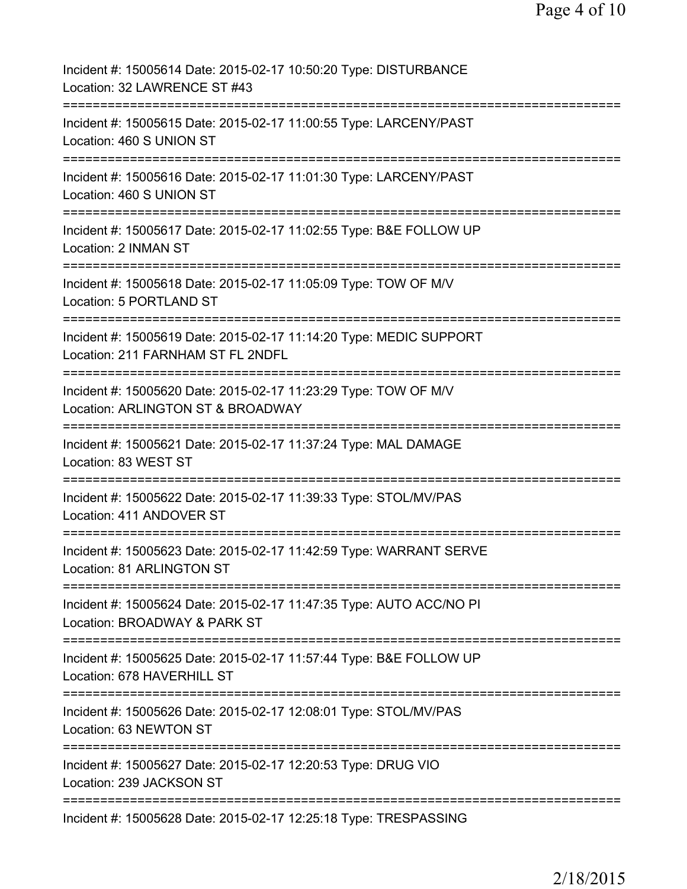| Incident #: 15005614 Date: 2015-02-17 10:50:20 Type: DISTURBANCE<br>Location: 32 LAWRENCE ST #43        |
|---------------------------------------------------------------------------------------------------------|
| Incident #: 15005615 Date: 2015-02-17 11:00:55 Type: LARCENY/PAST<br>Location: 460 S UNION ST           |
| Incident #: 15005616 Date: 2015-02-17 11:01:30 Type: LARCENY/PAST<br>Location: 460 S UNION ST           |
| Incident #: 15005617 Date: 2015-02-17 11:02:55 Type: B&E FOLLOW UP<br>Location: 2 INMAN ST              |
| Incident #: 15005618 Date: 2015-02-17 11:05:09 Type: TOW OF M/V<br>Location: 5 PORTLAND ST              |
| Incident #: 15005619 Date: 2015-02-17 11:14:20 Type: MEDIC SUPPORT<br>Location: 211 FARNHAM ST FL 2NDFL |
| Incident #: 15005620 Date: 2015-02-17 11:23:29 Type: TOW OF M/V<br>Location: ARLINGTON ST & BROADWAY    |
| Incident #: 15005621 Date: 2015-02-17 11:37:24 Type: MAL DAMAGE<br>Location: 83 WEST ST                 |
| Incident #: 15005622 Date: 2015-02-17 11:39:33 Type: STOL/MV/PAS<br>Location: 411 ANDOVER ST            |
| Incident #: 15005623 Date: 2015-02-17 11:42:59 Type: WARRANT SERVE<br>Location: 81 ARLINGTON ST         |
| Incident #: 15005624 Date: 2015-02-17 11:47:35 Type: AUTO ACC/NO PI<br>Location: BROADWAY & PARK ST     |
| Incident #: 15005625 Date: 2015-02-17 11:57:44 Type: B&E FOLLOW UP<br>Location: 678 HAVERHILL ST        |
| Incident #: 15005626 Date: 2015-02-17 12:08:01 Type: STOL/MV/PAS<br>Location: 63 NEWTON ST              |
| Incident #: 15005627 Date: 2015-02-17 12:20:53 Type: DRUG VIO<br>Location: 239 JACKSON ST               |
| Incident #: 15005628 Date: 2015-02-17 12:25:18 Type: TRESPASSING                                        |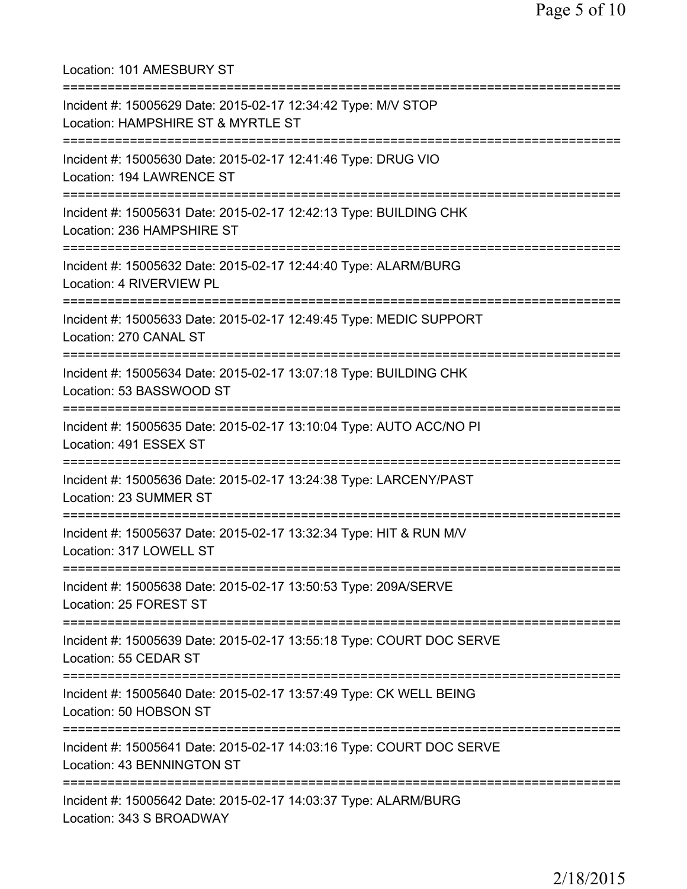Location: 101 AMESBURY ST =========================================================================== Incident #: 15005629 Date: 2015-02-17 12:34:42 Type: M/V STOP Location: HAMPSHIRE ST & MYRTLE ST =========================================================================== Incident #: 15005630 Date: 2015-02-17 12:41:46 Type: DRUG VIO Location: 194 LAWRENCE ST =========================================================================== Incident #: 15005631 Date: 2015-02-17 12:42:13 Type: BUILDING CHK Location: 236 HAMPSHIRE ST =========================================================================== Incident #: 15005632 Date: 2015-02-17 12:44:40 Type: ALARM/BURG Location: 4 RIVERVIEW PL =========================================================================== Incident #: 15005633 Date: 2015-02-17 12:49:45 Type: MEDIC SUPPORT Location: 270 CANAL ST =========================================================================== Incident #: 15005634 Date: 2015-02-17 13:07:18 Type: BUILDING CHK Location: 53 BASSWOOD ST =========================================================================== Incident #: 15005635 Date: 2015-02-17 13:10:04 Type: AUTO ACC/NO PI Location: 491 ESSEX ST =========================================================================== Incident #: 15005636 Date: 2015-02-17 13:24:38 Type: LARCENY/PAST Location: 23 SUMMER ST =========================================================================== Incident #: 15005637 Date: 2015-02-17 13:32:34 Type: HIT & RUN M/V Location: 317 LOWELL ST =========================================================================== Incident #: 15005638 Date: 2015-02-17 13:50:53 Type: 209A/SERVE Location: 25 FOREST ST =========================================================================== Incident #: 15005639 Date: 2015-02-17 13:55:18 Type: COURT DOC SERVE Location: 55 CEDAR ST =========================================================================== Incident #: 15005640 Date: 2015-02-17 13:57:49 Type: CK WELL BEING Location: 50 HOBSON ST =========================================================================== Incident #: 15005641 Date: 2015-02-17 14:03:16 Type: COURT DOC SERVE Location: 43 BENNINGTON ST =========================================================================== Incident #: 15005642 Date: 2015-02-17 14:03:37 Type: ALARM/BURG Location: 343 S BROADWAY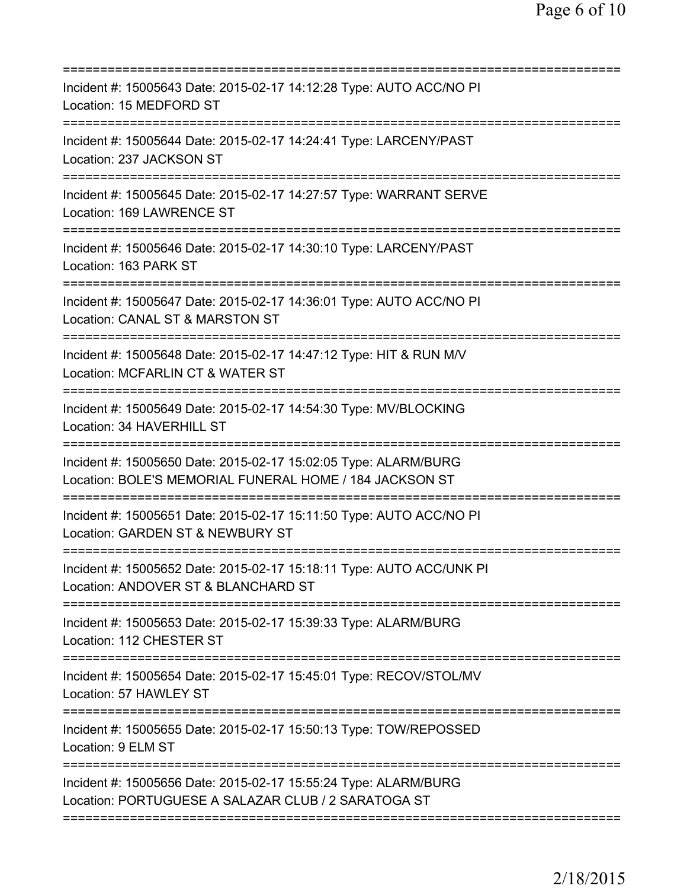| Incident #: 15005643 Date: 2015-02-17 14:12:28 Type: AUTO ACC/NO PI<br>Location: 15 MEDFORD ST                                                                                             |
|--------------------------------------------------------------------------------------------------------------------------------------------------------------------------------------------|
| Incident #: 15005644 Date: 2015-02-17 14:24:41 Type: LARCENY/PAST<br>Location: 237 JACKSON ST                                                                                              |
| Incident #: 15005645 Date: 2015-02-17 14:27:57 Type: WARRANT SERVE<br>Location: 169 LAWRENCE ST                                                                                            |
| Incident #: 15005646 Date: 2015-02-17 14:30:10 Type: LARCENY/PAST<br>Location: 163 PARK ST<br>====================================                                                         |
| Incident #: 15005647 Date: 2015-02-17 14:36:01 Type: AUTO ACC/NO PI<br>Location: CANAL ST & MARSTON ST                                                                                     |
| :========================<br>Incident #: 15005648 Date: 2015-02-17 14:47:12 Type: HIT & RUN M/V<br>Location: MCFARLIN CT & WATER ST<br>=============================<br>:================= |
| Incident #: 15005649 Date: 2015-02-17 14:54:30 Type: MV/BLOCKING<br>Location: 34 HAVERHILL ST<br>--------------                                                                            |
| Incident #: 15005650 Date: 2015-02-17 15:02:05 Type: ALARM/BURG<br>Location: BOLE'S MEMORIAL FUNERAL HOME / 184 JACKSON ST                                                                 |
| Incident #: 15005651 Date: 2015-02-17 15:11:50 Type: AUTO ACC/NO PI<br>Location: GARDEN ST & NEWBURY ST                                                                                    |
| Incident #: 15005652 Date: 2015-02-17 15:18:11 Type: AUTO ACC/UNK PI<br>Location: ANDOVER ST & BLANCHARD ST                                                                                |
| Incident #: 15005653 Date: 2015-02-17 15:39:33 Type: ALARM/BURG<br>Location: 112 CHESTER ST                                                                                                |
| Incident #: 15005654 Date: 2015-02-17 15:45:01 Type: RECOV/STOL/MV<br>Location: 57 HAWLEY ST                                                                                               |
| Incident #: 15005655 Date: 2015-02-17 15:50:13 Type: TOW/REPOSSED<br>Location: 9 ELM ST                                                                                                    |
| Incident #: 15005656 Date: 2015-02-17 15:55:24 Type: ALARM/BURG<br>Location: PORTUGUESE A SALAZAR CLUB / 2 SARATOGA ST                                                                     |
|                                                                                                                                                                                            |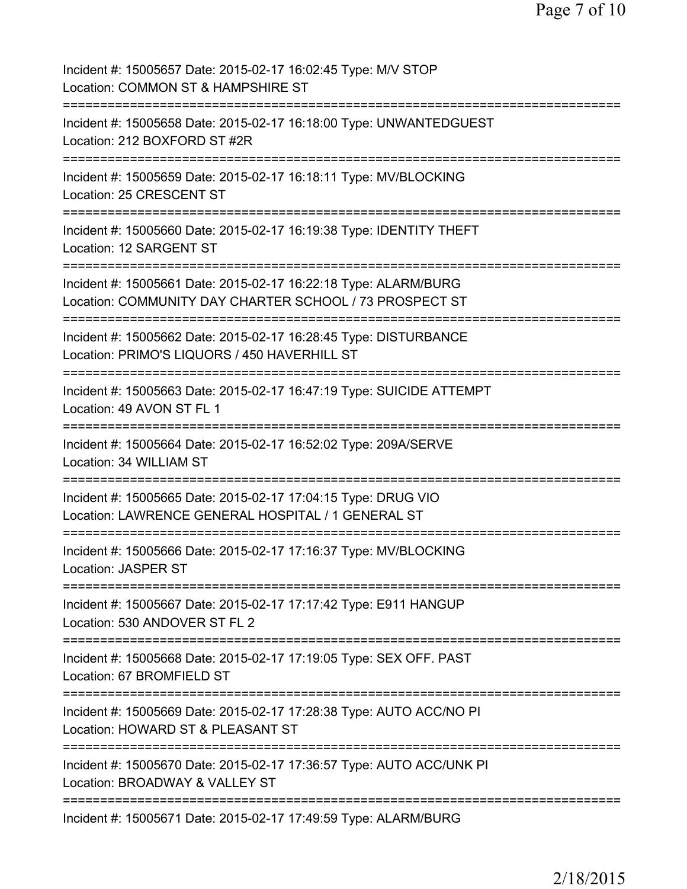Page 7 of 10

Incident #: 15005657 Date: 2015-02-17 16:02:45 Type: M/V STOP Location: COMMON ST & HAMPSHIRE ST =========================================================================== Incident #: 15005658 Date: 2015-02-17 16:18:00 Type: UNWANTEDGUEST Location: 212 BOXFORD ST #2R =========================================================================== Incident #: 15005659 Date: 2015-02-17 16:18:11 Type: MV/BLOCKING Location: 25 CRESCENT ST =========================================================================== Incident #: 15005660 Date: 2015-02-17 16:19:38 Type: IDENTITY THEFT Location: 12 SARGENT ST =========================================================================== Incident #: 15005661 Date: 2015-02-17 16:22:18 Type: ALARM/BURG Location: COMMUNITY DAY CHARTER SCHOOL / 73 PROSPECT ST =========================================================================== Incident #: 15005662 Date: 2015-02-17 16:28:45 Type: DISTURBANCE Location: PRIMO'S LIQUORS / 450 HAVERHILL ST =========================================================================== Incident #: 15005663 Date: 2015-02-17 16:47:19 Type: SUICIDE ATTEMPT Location: 49 AVON ST FL 1 =========================================================================== Incident #: 15005664 Date: 2015-02-17 16:52:02 Type: 209A/SERVE Location: 34 WILLIAM ST =========================================================================== Incident #: 15005665 Date: 2015-02-17 17:04:15 Type: DRUG VIO Location: LAWRENCE GENERAL HOSPITAL / 1 GENERAL ST =========================================================================== Incident #: 15005666 Date: 2015-02-17 17:16:37 Type: MV/BLOCKING Location: JASPER ST =========================================================================== Incident #: 15005667 Date: 2015-02-17 17:17:42 Type: E911 HANGUP Location: 530 ANDOVER ST FL 2 =========================================================================== Incident #: 15005668 Date: 2015-02-17 17:19:05 Type: SEX OFF. PAST Location: 67 BROMFIFLD ST =========================================================================== Incident #: 15005669 Date: 2015-02-17 17:28:38 Type: AUTO ACC/NO PI Location: HOWARD ST & PLEASANT ST =========================================================================== Incident #: 15005670 Date: 2015-02-17 17:36:57 Type: AUTO ACC/UNK PI Location: BROADWAY & VALLEY ST =========================================================================== Incident #: 15005671 Date: 2015-02-17 17:49:59 Type: ALARM/BURG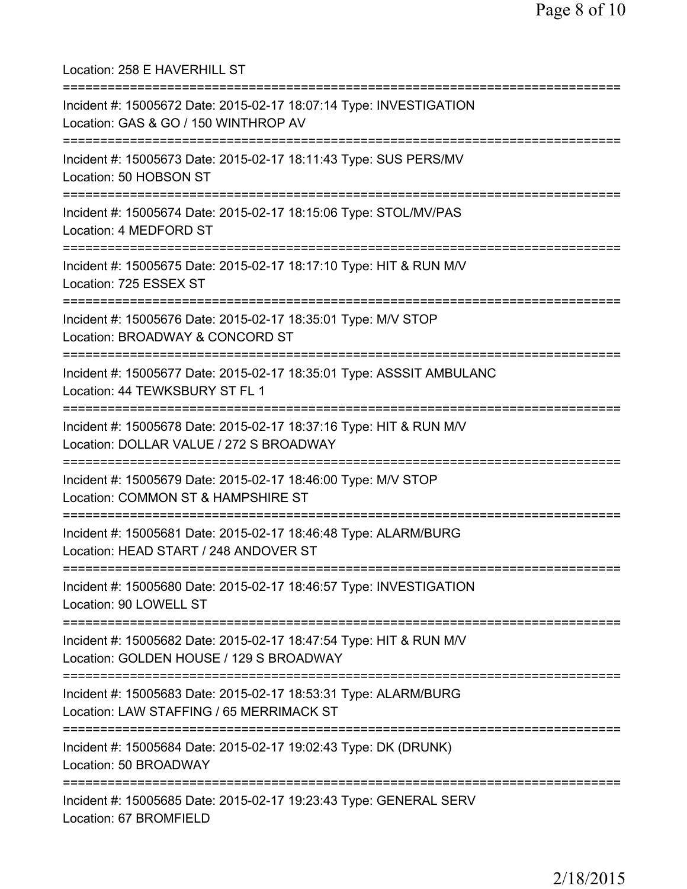Location: 258 E HAVERHILL ST =========================================================================== Incident #: 15005672 Date: 2015-02-17 18:07:14 Type: INVESTIGATION Location: GAS & GO / 150 WINTHROP AV =========================================================================== Incident #: 15005673 Date: 2015-02-17 18:11:43 Type: SUS PERS/MV Location: 50 HOBSON ST =========================================================================== Incident #: 15005674 Date: 2015-02-17 18:15:06 Type: STOL/MV/PAS Location: 4 MEDFORD ST =========================================================================== Incident #: 15005675 Date: 2015-02-17 18:17:10 Type: HIT & RUN M/V Location: 725 ESSEX ST =========================================================================== Incident #: 15005676 Date: 2015-02-17 18:35:01 Type: M/V STOP Location: BROADWAY & CONCORD ST =========================================================================== Incident #: 15005677 Date: 2015-02-17 18:35:01 Type: ASSSIT AMBULANC Location: 44 TEWKSBURY ST FL 1 =========================================================================== Incident #: 15005678 Date: 2015-02-17 18:37:16 Type: HIT & RUN M/V Location: DOLLAR VALUE / 272 S BROADWAY =========================================================================== Incident #: 15005679 Date: 2015-02-17 18:46:00 Type: M/V STOP Location: COMMON ST & HAMPSHIRE ST =========================================================================== Incident #: 15005681 Date: 2015-02-17 18:46:48 Type: ALARM/BURG Location: HEAD START / 248 ANDOVER ST =========================================================================== Incident #: 15005680 Date: 2015-02-17 18:46:57 Type: INVESTIGATION Location: 90 LOWELL ST =========================================================================== Incident #: 15005682 Date: 2015-02-17 18:47:54 Type: HIT & RUN M/V Location: GOLDEN HOUSE / 129 S BROADWAY =========================================================================== Incident #: 15005683 Date: 2015-02-17 18:53:31 Type: ALARM/BURG Location: LAW STAFFING / 65 MERRIMACK ST =========================================================================== Incident #: 15005684 Date: 2015-02-17 19:02:43 Type: DK (DRUNK) Location: 50 BROADWAY =========================================================================== Incident #: 15005685 Date: 2015-02-17 19:23:43 Type: GENERAL SERV Location: 67 BROMFIELD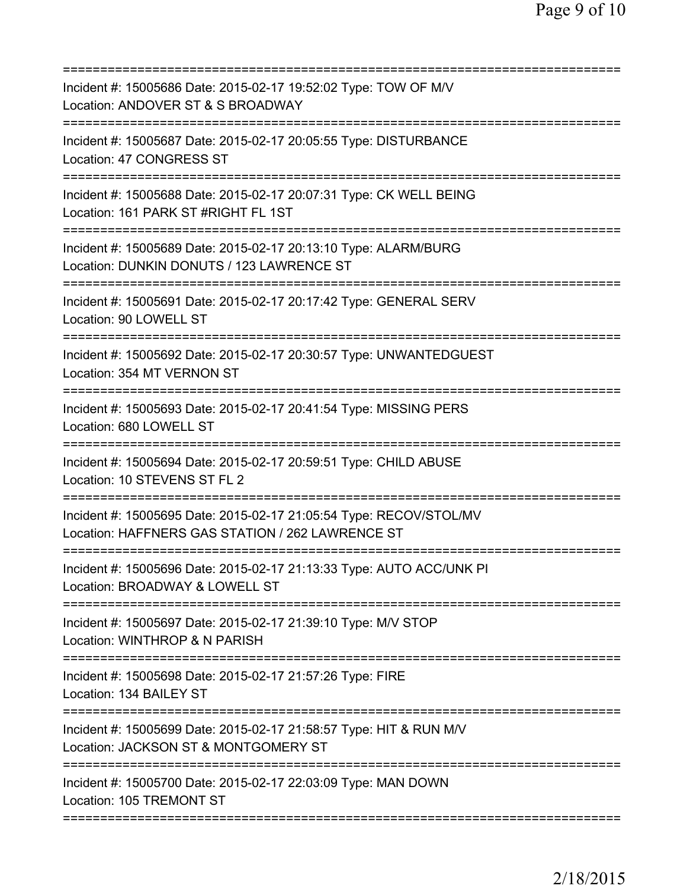| Incident #: 15005686 Date: 2015-02-17 19:52:02 Type: TOW OF M/V<br>Location: ANDOVER ST & S BROADWAY                                               |
|----------------------------------------------------------------------------------------------------------------------------------------------------|
| Incident #: 15005687 Date: 2015-02-17 20:05:55 Type: DISTURBANCE<br>Location: 47 CONGRESS ST                                                       |
| Incident #: 15005688 Date: 2015-02-17 20:07:31 Type: CK WELL BEING<br>Location: 161 PARK ST #RIGHT FL 1ST                                          |
| Incident #: 15005689 Date: 2015-02-17 20:13:10 Type: ALARM/BURG<br>Location: DUNKIN DONUTS / 123 LAWRENCE ST<br>================================== |
| Incident #: 15005691 Date: 2015-02-17 20:17:42 Type: GENERAL SERV<br>Location: 90 LOWELL ST                                                        |
| Incident #: 15005692 Date: 2015-02-17 20:30:57 Type: UNWANTEDGUEST<br>Location: 354 MT VERNON ST                                                   |
| Incident #: 15005693 Date: 2015-02-17 20:41:54 Type: MISSING PERS<br>Location: 680 LOWELL ST                                                       |
| Incident #: 15005694 Date: 2015-02-17 20:59:51 Type: CHILD ABUSE<br>Location: 10 STEVENS ST FL 2                                                   |
| Incident #: 15005695 Date: 2015-02-17 21:05:54 Type: RECOV/STOL/MV<br>Location: HAFFNERS GAS STATION / 262 LAWRENCE ST                             |
| Incident #: 15005696 Date: 2015-02-17 21:13:33 Type: AUTO ACC/UNK PI<br>Location: BROADWAY & LOWELL ST                                             |
| ============================<br>Incident #: 15005697 Date: 2015-02-17 21:39:10 Type: M/V STOP<br>Location: WINTHROP & N PARISH                     |
| Incident #: 15005698 Date: 2015-02-17 21:57:26 Type: FIRE<br>Location: 134 BAILEY ST                                                               |
| Incident #: 15005699 Date: 2015-02-17 21:58:57 Type: HIT & RUN M/V<br>Location: JACKSON ST & MONTGOMERY ST                                         |
| Incident #: 15005700 Date: 2015-02-17 22:03:09 Type: MAN DOWN<br>Location: 105 TREMONT ST                                                          |
|                                                                                                                                                    |